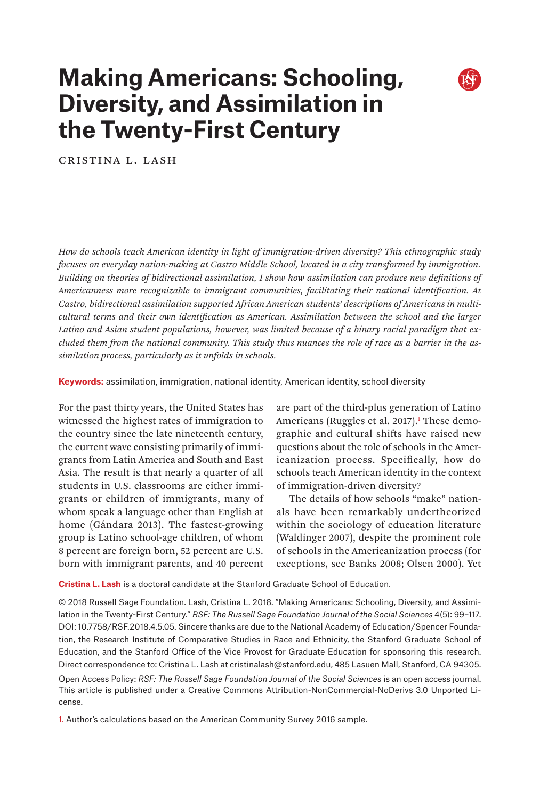# **Making Americans: Schooling, Diversity, and Assimilation in the Twenty-First Century**

Cristina L. Lash

*How do schools teach American identity in light of immigration-driven diversity? This ethnographic study focuses on everyday nation-making at Castro Middle School, located in a city transformed by immigration. Building on theories of bidirectional assimilation, I show how assimilation can produce new definitions of Americanness more recognizable to immigrant communities, facilitating their national identification. At Castro, bidirectional assimilation supported African American students' descriptions of Americans in multicultural terms and their own identification as American. Assimilation between the school and the larger Latino and Asian student populations, however, was limited because of a binary racial paradigm that excluded them from the national community. This study thus nuances the role of race as a barrier in the assimilation process, particularly as it unfolds in schools.*

**Keywords:** assimilation, immigration, national identity, American identity, school diversity

For the past thirty years, the United States has witnessed the highest rates of immigration to the country since the late nineteenth century, the current wave consisting primarily of immigrants from Latin America and South and East Asia. The result is that nearly a quarter of all students in U.S. classrooms are either immigrants or children of immigrants, many of whom speak a language other than English at home (Gándara 2013). The fastest-growing group is Latino school-age children, of whom 8 percent are foreign born, 52 percent are U.S. born with immigrant parents, and 40 percent

are part of the third-plus generation of Latino Americans (Ruggles et al. 2017).<sup>1</sup> These demographic and cultural shifts have raised new questions about the role of schools in the Americanization process. Specifically, how do schools teach American identity in the context of immigration-driven diversity?

The details of how schools "make" nationals have been remarkably undertheorized within the sociology of education literature (Waldinger 2007), despite the prominent role of schools in the Americanization process (for exceptions, see Banks 2008; Olsen 2000). Yet

**Cristina L. Lash** is a doctoral candidate at the Stanford Graduate School of Education.

© 2018 Russell Sage Foundation. Lash, Cristina L. 2018. "Making Americans: Schooling, Diversity, and Assimilation in the Twenty-First Century." *RSF: The Russell Sage Foundation Journal of the Social Sciences* 4(5): 99–117. DOI: 10.7758/RSF.2018.4.5.05. Sincere thanks are due to the National Academy of Education/Spencer Foundation, the Research Institute of Comparative Studies in Race and Ethnicity, the Stanford Graduate School of Education, and the Stanford Office of the Vice Provost for Graduate Education for sponsoring this research. Direct correspondence to: Cristina L. Lash at [cristinalash@stanford.edu](mailto:cristinalash%40stanford.edu?subject=), 485 Lasuen Mall, Stanford, CA 94305.

Open Access Policy: *RSF: The Russell Sage Foundation Journal of the Social Sciences* is an open access journal. This article is published under a Creative Commons Attribution-NonCommercial-NoDerivs 3.0 Unported License.

1. Author's calculations based on the American Community Survey 2016 sample.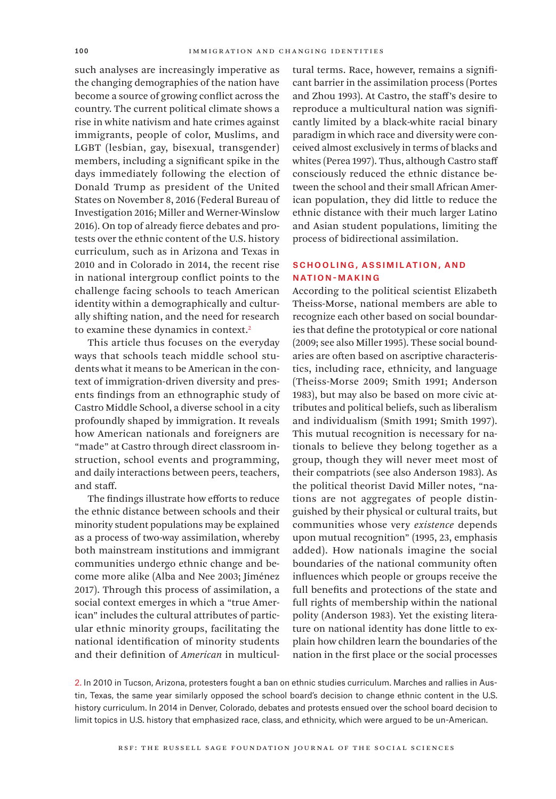such analyses are increasingly imperative as the changing demographies of the nation have become a source of growing conflict across the country. The current political climate shows a rise in white nativism and hate crimes against immigrants, people of color, Muslims, and LGBT (lesbian, gay, bisexual, transgender) members, including a significant spike in the days immediately following the election of Donald Trump as president of the United States on November 8, 2016 (Federal Bureau of Investigation 2016; Miller and Werner-Winslow 2016). On top of already fierce debates and protests over the ethnic content of the U.S. history curriculum, such as in Arizona and Texas in 2010 and in Colorado in 2014, the recent rise in national intergroup conflict points to the challenge facing schools to teach American identity within a demographically and culturally shifting nation, and the need for research to examine these dynamics in context.<sup>2</sup>

This article thus focuses on the everyday ways that schools teach middle school students what it means to be American in the context of immigration-driven diversity and presents findings from an ethnographic study of Castro Middle School, a diverse school in a city profoundly shaped by immigration. It reveals how American nationals and foreigners are "made" at Castro through direct classroom instruction, school events and programming, and daily interactions between peers, teachers, and staff.

The findings illustrate how efforts to reduce the ethnic distance between schools and their minority student populations may be explained as a process of two-way assimilation, whereby both mainstream institutions and immigrant communities undergo ethnic change and become more alike (Alba and Nee 2003; Jiménez 2017). Through this process of assimilation, a social context emerges in which a "true American" includes the cultural attributes of particular ethnic minority groups, facilitating the national identification of minority students and their definition of *American* in multicultural terms. Race, however, remains a significant barrier in the assimilation process (Portes and Zhou 1993). At Castro, the staff's desire to reproduce a multicultural nation was significantly limited by a black-white racial binary paradigm in which race and diversity were conceived almost exclusively in terms of blacks and whites (Perea 1997). Thus, although Castro staff consciously reduced the ethnic distance between the school and their small African American population, they did little to reduce the ethnic distance with their much larger Latino and Asian student populations, limiting the process of bidirectional assimilation.

## Schooling, Assimilation, and Nation-Making

According to the political scientist Elizabeth Theiss-Morse, national members are able to recognize each other based on social boundaries that define the prototypical or core national (2009; see also Miller 1995). These social boundaries are often based on ascriptive characteristics, including race, ethnicity, and language (Theiss-Morse 2009; Smith 1991; Anderson 1983), but may also be based on more civic attributes and political beliefs, such as liberalism and individualism (Smith 1991; Smith 1997). This mutual recognition is necessary for nationals to believe they belong together as a group, though they will never meet most of their compatriots (see also Anderson 1983). As the political theorist David Miller notes, "nations are not aggregates of people distinguished by their physical or cultural traits, but communities whose very *existence* depends upon mutual recognition" (1995, 23, emphasis added). How nationals imagine the social boundaries of the national community often influences which people or groups receive the full benefits and protections of the state and full rights of membership within the national polity (Anderson 1983). Yet the existing literature on national identity has done little to explain how children learn the boundaries of the nation in the first place or the social processes

2. In 2010 in Tucson, Arizona, protesters fought a ban on ethnic studies curriculum. Marches and rallies in Austin, Texas, the same year similarly opposed the school board's decision to change ethnic content in the U.S. history curriculum. In 2014 in Denver, Colorado, debates and protests ensued over the school board decision to limit topics in U.S. history that emphasized race, class, and ethnicity, which were argued to be un-American.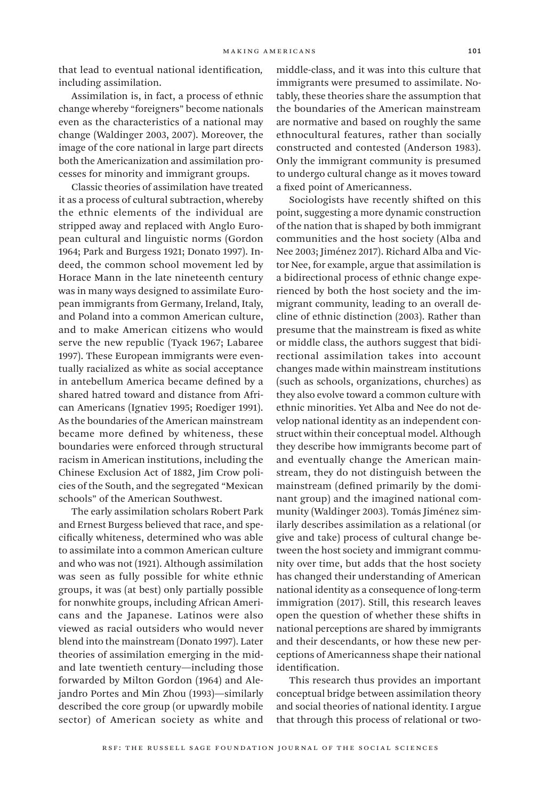that lead to eventual national identification*,*  including assimilation.

Assimilation is, in fact, a process of ethnic change whereby "foreigners" become nationals even as the characteristics of a national may change (Waldinger 2003, 2007). Moreover, the image of the core national in large part directs both the Americanization and assimilation processes for minority and immigrant groups.

Classic theories of assimilation have treated it as a process of cultural subtraction, whereby the ethnic elements of the individual are stripped away and replaced with Anglo European cultural and linguistic norms (Gordon 1964; Park and Burgess 1921; Donato 1997). Indeed, the common school movement led by Horace Mann in the late nineteenth century was in many ways designed to assimilate European immigrants from Germany, Ireland, Italy, and Poland into a common American culture, and to make American citizens who would serve the new republic (Tyack 1967; Labaree 1997). These European immigrants were eventually racialized as white as social acceptance in antebellum America became defined by a shared hatred toward and distance from African Americans (Ignatiev 1995; Roediger 1991). As the boundaries of the American mainstream became more defined by whiteness, these boundaries were enforced through structural racism in American institutions, including the Chinese Exclusion Act of 1882, Jim Crow policies of the South, and the segregated "Mexican schools" of the American Southwest.

The early assimilation scholars Robert Park and Ernest Burgess believed that race, and specifically whiteness, determined who was able to assimilate into a common American culture and who was not (1921). Although assimilation was seen as fully possible for white ethnic groups, it was (at best) only partially possible for nonwhite groups, including African Americans and the Japanese. Latinos were also viewed as racial outsiders who would never blend into the mainstream (Donato 1997). Later theories of assimilation emerging in the midand late twentieth century—including those forwarded by Milton Gordon (1964) and Alejandro Portes and Min Zhou (1993)—similarly described the core group (or upwardly mobile sector) of American society as white and

middle-class, and it was into this culture that immigrants were presumed to assimilate. Notably, these theories share the assumption that the boundaries of the American mainstream are normative and based on roughly the same ethnocultural features, rather than socially constructed and contested (Anderson 1983). Only the immigrant community is presumed to undergo cultural change as it moves toward a fixed point of Americanness.

Sociologists have recently shifted on this point, suggesting a more dynamic construction of the nation that is shaped by both immigrant communities and the host society (Alba and Nee 2003; Jiménez 2017). Richard Alba and Victor Nee, for example, argue that assimilation is a bidirectional process of ethnic change experienced by both the host society and the immigrant community, leading to an overall decline of ethnic distinction (2003). Rather than presume that the mainstream is fixed as white or middle class, the authors suggest that bidirectional assimilation takes into account changes made within mainstream institutions (such as schools, organizations, churches) as they also evolve toward a common culture with ethnic minorities. Yet Alba and Nee do not develop national identity as an independent construct within their conceptual model. Although they describe how immigrants become part of and eventually change the American mainstream, they do not distinguish between the mainstream (defined primarily by the dominant group) and the imagined national community (Waldinger 2003). Tomás Jiménez similarly describes assimilation as a relational (or give and take) process of cultural change between the host society and immigrant community over time, but adds that the host society has changed their understanding of American national identity as a consequence of long-term immigration (2017). Still, this research leaves open the question of whether these shifts in national perceptions are shared by immigrants and their descendants, or how these new perceptions of Americanness shape their national identification.

This research thus provides an important conceptual bridge between assimilation theory and social theories of national identity. I argue that through this process of relational or two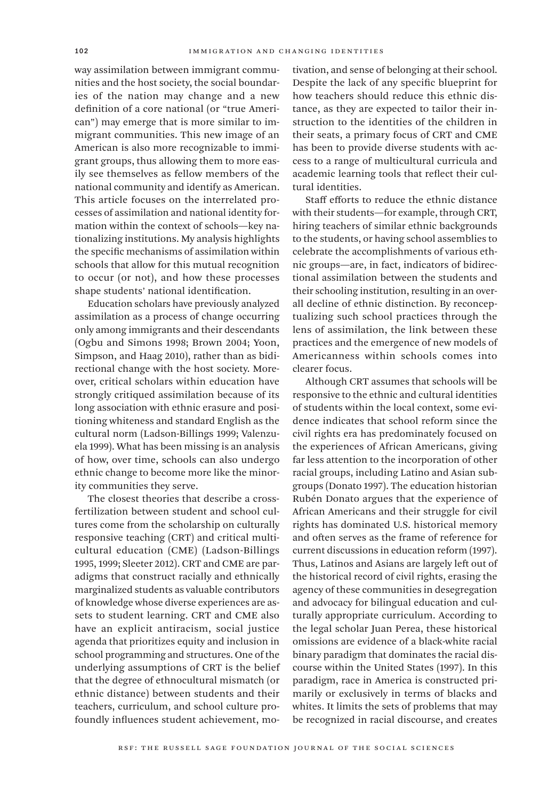way assimilation between immigrant communities and the host society, the social boundaries of the nation may change and a new definition of a core national (or "true American") may emerge that is more similar to immigrant communities. This new image of an American is also more recognizable to immigrant groups, thus allowing them to more easily see themselves as fellow members of the national community and identify as American. This article focuses on the interrelated processes of assimilation and national identity formation within the context of schools—key nationalizing institutions. My analysis highlights the specific mechanisms of assimilation within schools that allow for this mutual recognition to occur (or not), and how these processes shape students' national identification.

Education scholars have previously analyzed assimilation as a process of change occurring only among immigrants and their descendants (Ogbu and Simons 1998; Brown 2004; Yoon, Simpson, and Haag 2010), rather than as bidirectional change with the host society. Moreover, critical scholars within education have strongly critiqued assimilation because of its long association with ethnic erasure and positioning whiteness and standard English as the cultural norm (Ladson-Billings 1999; Valenzuela 1999). What has been missing is an analysis of how, over time, schools can also undergo ethnic change to become more like the minority communities they serve.

The closest theories that describe a crossfertilization between student and school cultures come from the scholarship on culturally responsive teaching (CRT) and critical multicultural education (CME) (Ladson-Billings 1995, 1999; Sleeter 2012). CRT and CME are paradigms that construct racially and ethnically marginalized students as valuable contributors of knowledge whose diverse experiences are assets to student learning. CRT and CME also have an explicit antiracism, social justice agenda that prioritizes equity and inclusion in school programming and structures. One of the underlying assumptions of CRT is the belief that the degree of ethnocultural mismatch (or ethnic distance) between students and their teachers, curriculum, and school culture profoundly influences student achievement, motivation, and sense of belonging at their school. Despite the lack of any specific blueprint for how teachers should reduce this ethnic distance, as they are expected to tailor their instruction to the identities of the children in their seats, a primary focus of CRT and CME has been to provide diverse students with access to a range of multicultural curricula and academic learning tools that reflect their cultural identities.

Staff efforts to reduce the ethnic distance with their students—for example, through CRT, hiring teachers of similar ethnic backgrounds to the students, or having school assemblies to celebrate the accomplishments of various ethnic groups—are, in fact, indicators of bidirectional assimilation between the students and their schooling institution, resulting in an overall decline of ethnic distinction. By reconceptualizing such school practices through the lens of assimilation, the link between these practices and the emergence of new models of Americanness within schools comes into clearer focus.

Although CRT assumes that schools will be responsive to the ethnic and cultural identities of students within the local context, some evidence indicates that school reform since the civil rights era has predominately focused on the experiences of African Americans, giving far less attention to the incorporation of other racial groups, including Latino and Asian subgroups (Donato 1997). The education historian Rubén Donato argues that the experience of African Americans and their struggle for civil rights has dominated U.S. historical memory and often serves as the frame of reference for current discussions in education reform (1997). Thus, Latinos and Asians are largely left out of the historical record of civil rights, erasing the agency of these communities in desegregation and advocacy for bilingual education and culturally appropriate curriculum. According to the legal scholar Juan Perea, these historical omissions are evidence of a black-white racial binary paradigm that dominates the racial discourse within the United States (1997). In this paradigm, race in America is constructed primarily or exclusively in terms of blacks and whites. It limits the sets of problems that may be recognized in racial discourse, and creates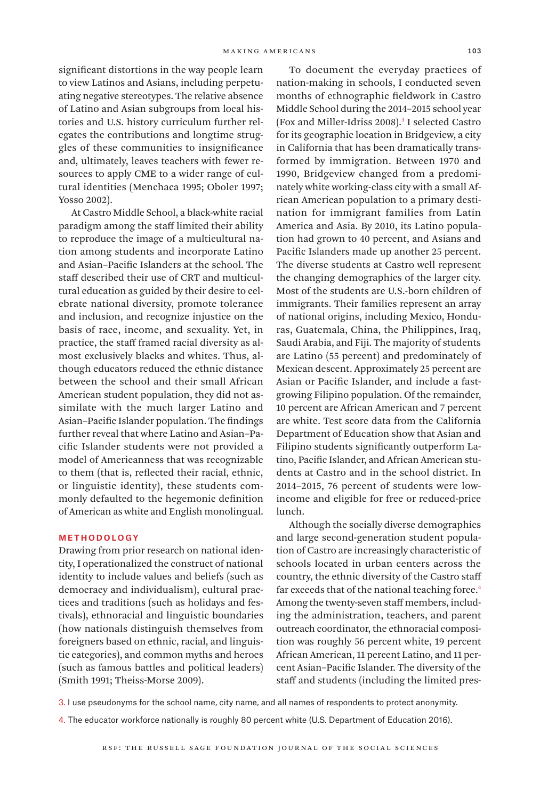significant distortions in the way people learn to view Latinos and Asians, including perpetuating negative stereotypes. The relative absence of Latino and Asian subgroups from local histories and U.S. history curriculum further relegates the contributions and longtime struggles of these communities to insignificance and, ultimately, leaves teachers with fewer resources to apply CME to a wider range of cultural identities (Menchaca 1995; Oboler 1997; Yosso 2002).

At Castro Middle School, a black-white racial paradigm among the staff limited their ability to reproduce the image of a multicultural nation among students and incorporate Latino and Asian–Pacific Islanders at the school. The staff described their use of CRT and multicultural education as guided by their desire to celebrate national diversity, promote tolerance and inclusion, and recognize injustice on the basis of race, income, and sexuality. Yet, in practice, the staff framed racial diversity as almost exclusively blacks and whites. Thus, although educators reduced the ethnic distance between the school and their small African American student population, they did not assimilate with the much larger Latino and Asian–Pacific Islander population. The findings further reveal that where Latino and Asian–Pacific Islander students were not provided a model of Americanness that was recognizable to them (that is, reflected their racial, ethnic, or linguistic identity), these students commonly defaulted to the hegemonic definition of American as white and English monolingual.

#### Methodology

Drawing from prior research on national identity, I operationalized the construct of national identity to include values and beliefs (such as democracy and individualism), cultural practices and traditions (such as holidays and festivals), ethnoracial and linguistic boundaries (how nationals distinguish themselves from foreigners based on ethnic, racial, and linguistic categories), and common myths and heroes (such as famous battles and political leaders) (Smith 1991; Theiss-Morse 2009).

To document the everyday practices of nation-making in schools, I conducted seven months of ethnographic fieldwork in Castro Middle School during the 2014–2015 school year (Fox and Miller-Idriss 2008).<sup>3</sup> I selected Castro for its geographic location in Bridgeview, a city in California that has been dramatically transformed by immigration. Between 1970 and 1990, Bridgeview changed from a predominately white working-class city with a small African American population to a primary destination for immigrant families from Latin America and Asia. By 2010, its Latino population had grown to 40 percent, and Asians and Pacific Islanders made up another 25 percent. The diverse students at Castro well represent the changing demographics of the larger city. Most of the students are U.S.-born children of immigrants. Their families represent an array of national origins, including Mexico, Honduras, Guatemala, China, the Philippines, Iraq, Saudi Arabia, and Fiji. The majority of students are Latino (55 percent) and predominately of Mexican descent. Approximately 25 percent are Asian or Pacific Islander, and include a fastgrowing Filipino population. Of the remainder, 10 percent are African American and 7 percent are white. Test score data from the California Department of Education show that Asian and Filipino students significantly outperform Latino, Pacific Islander, and African American students at Castro and in the school district. In 2014–2015, 76 percent of students were lowincome and eligible for free or reduced-price lunch.

Although the socially diverse demographics and large second-generation student population of Castro are increasingly characteristic of schools located in urban centers across the country, the ethnic diversity of the Castro staff far exceeds that of the national teaching force.<sup>4</sup> Among the twenty-seven staff members, including the administration, teachers, and parent outreach coordinator, the ethnoracial composition was roughly 56 percent white, 19 percent African American, 11 percent Latino, and 11 percent Asian–Pacific Islander. The diversity of the staff and students (including the limited pres-

3. I use pseudonyms for the school name, city name, and all names of respondents to protect anonymity.

4. The educator workforce nationally is roughly 80 percent white (U.S. Department of Education 2016).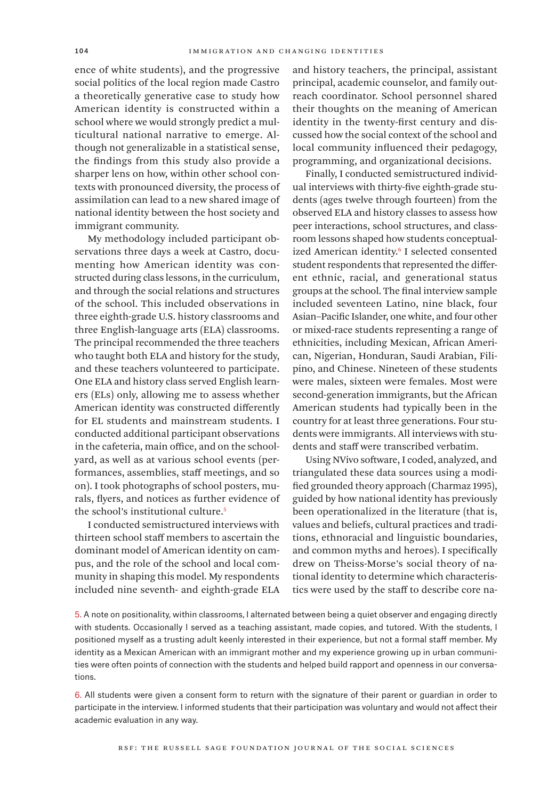ence of white students), and the progressive social politics of the local region made Castro a theoretically generative case to study how American identity is constructed within a school where we would strongly predict a multicultural national narrative to emerge. Although not generalizable in a statistical sense, the findings from this study also provide a sharper lens on how, within other school contexts with pronounced diversity, the process of assimilation can lead to a new shared image of national identity between the host society and immigrant community.

My methodology included participant observations three days a week at Castro, documenting how American identity was constructed during class lessons, in the curriculum, and through the social relations and structures of the school. This included observations in three eighth-grade U.S. history classrooms and three English-language arts (ELA) classrooms. The principal recommended the three teachers who taught both ELA and history for the study, and these teachers volunteered to participate. One ELA and history class served English learners (ELs) only, allowing me to assess whether American identity was constructed differently for EL students and mainstream students. I conducted additional participant observations in the cafeteria, main office, and on the schoolyard, as well as at various school events (performances, assemblies, staff meetings, and so on). I took photographs of school posters, murals, flyers, and notices as further evidence of the school's institutional culture.5

I conducted semistructured interviews with thirteen school staff members to ascertain the dominant model of American identity on campus, and the role of the school and local community in shaping this model. My respondents included nine seventh- and eighth-grade ELA and history teachers, the principal, assistant principal, academic counselor, and family outreach coordinator. School personnel shared their thoughts on the meaning of American identity in the twenty-first century and discussed how the social context of the school and local community influenced their pedagogy, programming, and organizational decisions.

Finally, I conducted semistructured individual interviews with thirty-five eighth-grade students (ages twelve through fourteen) from the observed ELA and history classes to assess how peer interactions, school structures, and classroom lessons shaped how students conceptualized American identity.<sup>6</sup> I selected consented student respondents that represented the different ethnic, racial, and generational status groups at the school. The final interview sample included seventeen Latino, nine black, four Asian–Pacific Islander, one white, and four other or mixed-race students representing a range of ethnicities, including Mexican, African American, Nigerian, Honduran, Saudi Arabian, Filipino, and Chinese. Nineteen of these students were males, sixteen were females. Most were second-generation immigrants, but the African American students had typically been in the country for at least three generations. Four students were immigrants. All interviews with students and staff were transcribed verbatim.

Using NVivo software, I coded, analyzed, and triangulated these data sources using a modified grounded theory approach (Charmaz 1995), guided by how national identity has previously been operationalized in the literature (that is, values and beliefs, cultural practices and traditions, ethnoracial and linguistic boundaries, and common myths and heroes). I specifically drew on Theiss-Morse's social theory of national identity to determine which characteristics were used by the staff to describe core na-

5. A note on positionality, within classrooms, I alternated between being a quiet observer and engaging directly with students. Occasionally I served as a teaching assistant, made copies, and tutored. With the students, I positioned myself as a trusting adult keenly interested in their experience, but not a formal staff member. My identity as a Mexican American with an immigrant mother and my experience growing up in urban communities were often points of connection with the students and helped build rapport and openness in our conversations.

6. All students were given a consent form to return with the signature of their parent or guardian in order to participate in the interview. I informed students that their participation was voluntary and would not affect their academic evaluation in any way.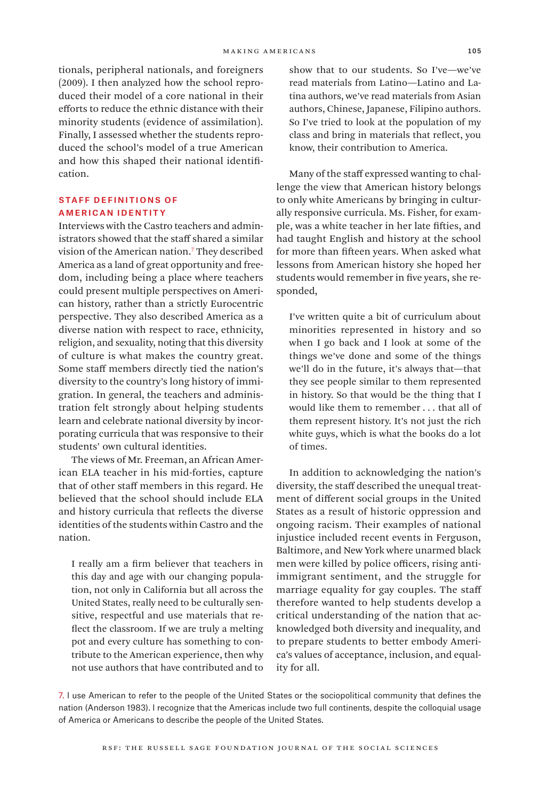tionals, peripheral nationals, and foreigners (2009). I then analyzed how the school reproduced their model of a core national in their efforts to reduce the ethnic distance with their minority students (evidence of assimilation). Finally, I assessed whether the students reproduced the school's model of a true American and how this shaped their national identification.

#### Staff Definitions of **AMERICAN IDENTITY**

Interviews with the Castro teachers and administrators showed that the staff shared a similar vision of the American nation.7 They described America as a land of great opportunity and freedom, including being a place where teachers could present multiple perspectives on American history, rather than a strictly Eurocentric perspective. They also described America as a diverse nation with respect to race, ethnicity, religion, and sexuality, noting that this diversity of culture is what makes the country great. Some staff members directly tied the nation's diversity to the country's long history of immigration. In general, the teachers and administration felt strongly about helping students learn and celebrate national diversity by incorporating curricula that was responsive to their students' own cultural identities.

The views of Mr. Freeman, an African American ELA teacher in his mid-forties, capture that of other staff members in this regard. He believed that the school should include ELA and history curricula that reflects the diverse identities of the students within Castro and the nation.

I really am a firm believer that teachers in this day and age with our changing population, not only in California but all across the United States, really need to be culturally sensitive, respectful and use materials that reflect the classroom. If we are truly a melting pot and every culture has something to contribute to the American experience, then why not use authors that have contributed and to show that to our students. So I've—we've read materials from Latino—Latino and Latina authors, we've read materials from Asian authors, Chinese, Japanese, Filipino authors. So I've tried to look at the population of my class and bring in materials that reflect, you know, their contribution to America.

Many of the staff expressed wanting to challenge the view that American history belongs to only white Americans by bringing in culturally responsive curricula. Ms. Fisher, for example, was a white teacher in her late fifties, and had taught English and history at the school for more than fifteen years. When asked what lessons from American history she hoped her students would remember in five years, she responded,

I've written quite a bit of curriculum about minorities represented in history and so when I go back and I look at some of the things we've done and some of the things we'll do in the future, it's always that—that they see people similar to them represented in history. So that would be the thing that I would like them to remember . . . that all of them represent history. It's not just the rich white guys, which is what the books do a lot of times.

In addition to acknowledging the nation's diversity, the staff described the unequal treatment of different social groups in the United States as a result of historic oppression and ongoing racism. Their examples of national injustice included recent events in Ferguson, Baltimore, and New York where unarmed black men were killed by police officers, rising antiimmigrant sentiment, and the struggle for marriage equality for gay couples. The staff therefore wanted to help students develop a critical understanding of the nation that acknowledged both diversity and inequality, and to prepare students to better embody America's values of acceptance, inclusion, and equality for all.

7. I use American to refer to the people of the United States or the sociopolitical community that defines the nation (Anderson 1983). I recognize that the Americas include two full continents, despite the colloquial usage of America or Americans to describe the people of the United States.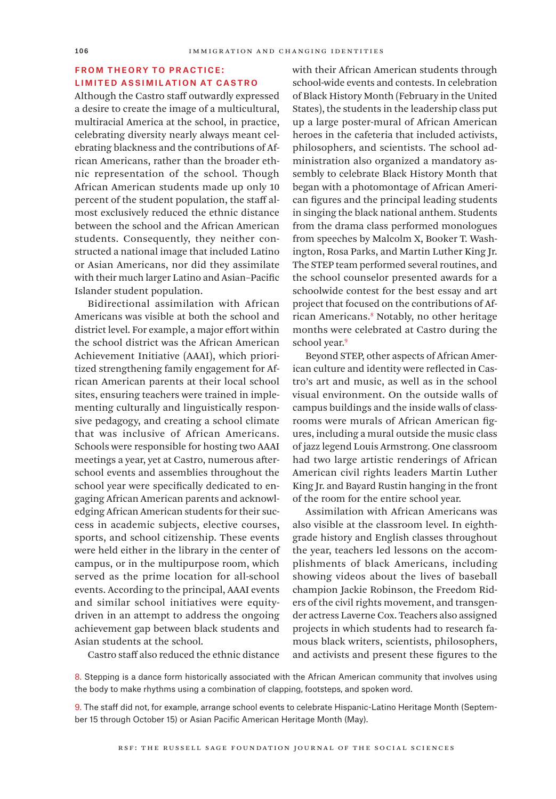# **FROM THEORY TO PRACTICE:** Limited Assimilation at Castro

Although the Castro staff outwardly expressed a desire to create the image of a multicultural, multiracial America at the school, in practice, celebrating diversity nearly always meant celebrating blackness and the contributions of African Americans, rather than the broader ethnic representation of the school. Though African American students made up only 10 percent of the student population, the staff almost exclusively reduced the ethnic distance between the school and the African American students. Consequently, they neither constructed a national image that included Latino or Asian Americans, nor did they assimilate with their much larger Latino and Asian–Pacific Islander student population.

Bidirectional assimilation with African Americans was visible at both the school and district level. For example, a major effort within the school district was the African American Achievement Initiative (AAAI), which prioritized strengthening family engagement for African American parents at their local school sites, ensuring teachers were trained in implementing culturally and linguistically responsive pedagogy, and creating a school climate that was inclusive of African Americans. Schools were responsible for hosting two AAAI meetings a year, yet at Castro, numerous afterschool events and assemblies throughout the school year were specifically dedicated to engaging African American parents and acknowledging African American students for their success in academic subjects, elective courses, sports, and school citizenship. These events were held either in the library in the center of campus, or in the multipurpose room, which served as the prime location for all-school events. According to the principal, AAAI events and similar school initiatives were equitydriven in an attempt to address the ongoing achievement gap between black students and Asian students at the school.

with their African American students through school-wide events and contests. In celebration of Black History Month (February in the United States), the students in the leadership class put up a large poster-mural of African American heroes in the cafeteria that included activists, philosophers, and scientists. The school administration also organized a mandatory assembly to celebrate Black History Month that began with a photomontage of African American figures and the principal leading students in singing the black national anthem. Students from the drama class performed monologues from speeches by Malcolm X, Booker T. Washington, Rosa Parks, and Martin Luther King Jr. The STEP team performed several routines, and the school counselor presented awards for a schoolwide contest for the best essay and art project that focused on the contributions of African Americans.8 Notably, no other heritage months were celebrated at Castro during the school year.<sup>9</sup>

Beyond STEP, other aspects of African American culture and identity were reflected in Castro's art and music, as well as in the school visual environment. On the outside walls of campus buildings and the inside walls of classrooms were murals of African American figures, including a mural outside the music class of jazz legend Louis Armstrong. One classroom had two large artistic renderings of African American civil rights leaders Martin Luther King Jr. and Bayard Rustin hanging in the front of the room for the entire school year.

Assimilation with African Americans was also visible at the classroom level. In eighthgrade history and English classes throughout the year, teachers led lessons on the accomplishments of black Americans, including showing videos about the lives of baseball champion Jackie Robinson, the Freedom Riders of the civil rights movement, and transgender actress Laverne Cox. Teachers also assigned projects in which students had to research famous black writers, scientists, philosophers, and activists and present these figures to the

Castro staff also reduced the ethnic distance

8. Stepping is a dance form historically associated with the African American community that involves using the body to make rhythms using a combination of clapping, footsteps, and spoken word.

9. The staff did not, for example, arrange school events to celebrate Hispanic-Latino Heritage Month (September 15 through October 15) or Asian Pacific American Heritage Month (May).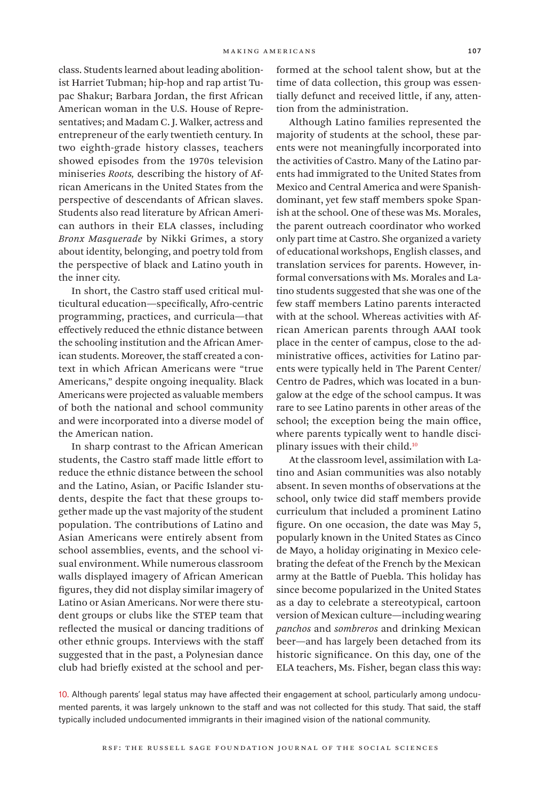class. Students learned about leading abolitionist Harriet Tubman; hip-hop and rap artist Tupac Shakur; Barbara Jordan, the first African American woman in the U.S. House of Representatives; and Madam C. J. Walker, actress and entrepreneur of the early twentieth century. In two eighth-grade history classes, teachers showed episodes from the 1970s television miniseries *Roots,* describing the history of African Americans in the United States from the perspective of descendants of African slaves. Students also read literature by African American authors in their ELA classes, including *Bronx Masquerade* by Nikki Grimes, a story about identity, belonging, and poetry told from the perspective of black and Latino youth in the inner city.

In short, the Castro staff used critical multicultural education—specifically, Afro-centric programming, practices, and curricula—that effectively reduced the ethnic distance between the schooling institution and the African American students. Moreover, the staff created a context in which African Americans were "true Americans," despite ongoing inequality. Black Americans were projected as valuable members of both the national and school community and were incorporated into a diverse model of the American nation.

In sharp contrast to the African American students, the Castro staff made little effort to reduce the ethnic distance between the school and the Latino, Asian, or Pacific Islander students, despite the fact that these groups together made up the vast majority of the student population. The contributions of Latino and Asian Americans were entirely absent from school assemblies, events, and the school visual environment. While numerous classroom walls displayed imagery of African American figures, they did not display similar imagery of Latino or Asian Americans. Nor were there student groups or clubs like the STEP team that reflected the musical or dancing traditions of other ethnic groups. Interviews with the staff suggested that in the past, a Polynesian dance club had briefly existed at the school and performed at the school talent show, but at the time of data collection, this group was essentially defunct and received little, if any, attention from the administration.

Although Latino families represented the majority of students at the school, these parents were not meaningfully incorporated into the activities of Castro. Many of the Latino parents had immigrated to the United States from Mexico and Central America and were Spanishdominant, yet few staff members spoke Spanish at the school. One of these was Ms. Morales, the parent outreach coordinator who worked only part time at Castro. She organized a variety of educational workshops, English classes, and translation services for parents. However, informal conversations with Ms. Morales and Latino students suggested that she was one of the few staff members Latino parents interacted with at the school. Whereas activities with African American parents through AAAI took place in the center of campus, close to the administrative offices, activities for Latino parents were typically held in The Parent Center/ Centro de Padres, which was located in a bungalow at the edge of the school campus. It was rare to see Latino parents in other areas of the school; the exception being the main office, where parents typically went to handle disciplinary issues with their child.10

At the classroom level, assimilation with Latino and Asian communities was also notably absent. In seven months of observations at the school, only twice did staff members provide curriculum that included a prominent Latino figure. On one occasion, the date was May 5, popularly known in the United States as Cinco de Mayo, a holiday originating in Mexico celebrating the defeat of the French by the Mexican army at the Battle of Puebla. This holiday has since become popularized in the United States as a day to celebrate a stereotypical, cartoon version of Mexican culture—including wearing *panchos* and *sombreros* and drinking Mexican beer—and has largely been detached from its historic significance. On this day, one of the ELA teachers, Ms. Fisher, began class this way:

10. Although parents' legal status may have affected their engagement at school, particularly among undocumented parents, it was largely unknown to the staff and was not collected for this study. That said, the staff typically included undocumented immigrants in their imagined vision of the national community.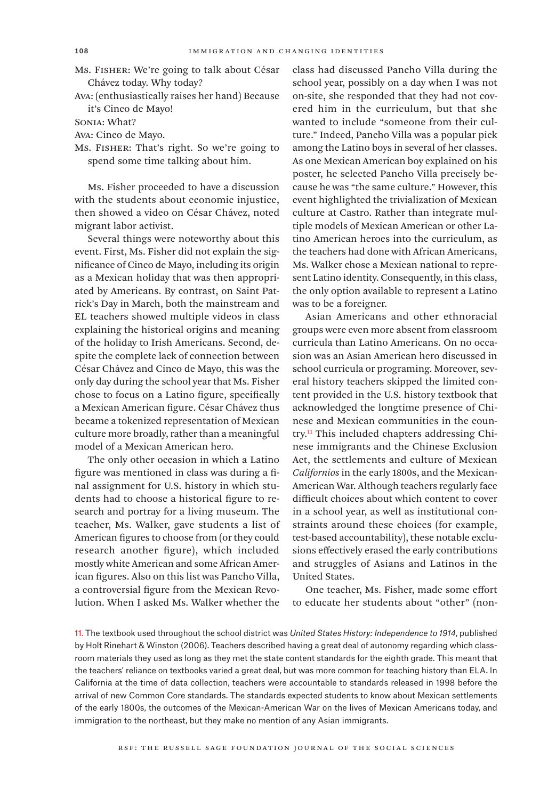- Ms. Fisher: We're going to talk about César Chávez today. Why today?
- Ava: (enthusiastically raises her hand) Because it's Cinco de Mayo!
- Sonia: What?
- Ava: Cinco de Mayo.
- Ms. Fisher: That's right. So we're going to spend some time talking about him.

Ms. Fisher proceeded to have a discussion with the students about economic injustice, then showed a video on César Chávez, noted migrant labor activist.

Several things were noteworthy about this event. First, Ms. Fisher did not explain the significance of Cinco de Mayo, including its origin as a Mexican holiday that was then appropriated by Americans. By contrast, on Saint Patrick's Day in March, both the mainstream and EL teachers showed multiple videos in class explaining the historical origins and meaning of the holiday to Irish Americans. Second, despite the complete lack of connection between César Chávez and Cinco de Mayo, this was the only day during the school year that Ms. Fisher chose to focus on a Latino figure, specifically a Mexican American figure. César Chávez thus became a tokenized representation of Mexican culture more broadly, rather than a meaningful model of a Mexican American hero.

The only other occasion in which a Latino figure was mentioned in class was during a final assignment for U.S. history in which students had to choose a historical figure to research and portray for a living museum. The teacher, Ms. Walker, gave students a list of American figures to choose from (or they could research another figure), which included mostly white American and some African American figures. Also on this list was Pancho Villa, a controversial figure from the Mexican Revolution. When I asked Ms. Walker whether the

class had discussed Pancho Villa during the school year, possibly on a day when I was not on-site, she responded that they had not covered him in the curriculum, but that she wanted to include "someone from their culture." Indeed, Pancho Villa was a popular pick among the Latino boys in several of her classes. As one Mexican American boy explained on his poster, he selected Pancho Villa precisely because he was "the same culture." However, this event highlighted the trivialization of Mexican culture at Castro. Rather than integrate multiple models of Mexican American or other Latino American heroes into the curriculum, as the teachers had done with African Americans, Ms. Walker chose a Mexican national to represent Latino identity. Consequently, in this class, the only option available to represent a Latino was to be a foreigner.

Asian Americans and other ethnoracial groups were even more absent from classroom curricula than Latino Americans. On no occasion was an Asian American hero discussed in school curricula or programing. Moreover, several history teachers skipped the limited content provided in the U.S. history textbook that acknowledged the longtime presence of Chinese and Mexican communities in the country.11 This included chapters addressing Chinese immigrants and the Chinese Exclusion Act, the settlements and culture of Mexican *Californios* in the early 1800s, and the Mexican-American War. Although teachers regularly face difficult choices about which content to cover in a school year, as well as institutional constraints around these choices (for example, test-based accountability), these notable exclusions effectively erased the early contributions and struggles of Asians and Latinos in the United States.

One teacher, Ms. Fisher, made some effort to educate her students about "other" (non-

11. The textbook used throughout the school district was *United States History: Independence to 1914*, published by Holt Rinehart & Winston (2006). Teachers described having a great deal of autonomy regarding which classroom materials they used as long as they met the state content standards for the eighth grade. This meant that the teachers' reliance on textbooks varied a great deal, but was more common for teaching history than ELA. In California at the time of data collection, teachers were accountable to standards released in 1998 before the arrival of new Common Core standards. The standards expected students to know about Mexican settlements of the early 1800s, the outcomes of the Mexican-American War on the lives of Mexican Americans today, and immigration to the northeast, but they make no mention of any Asian immigrants.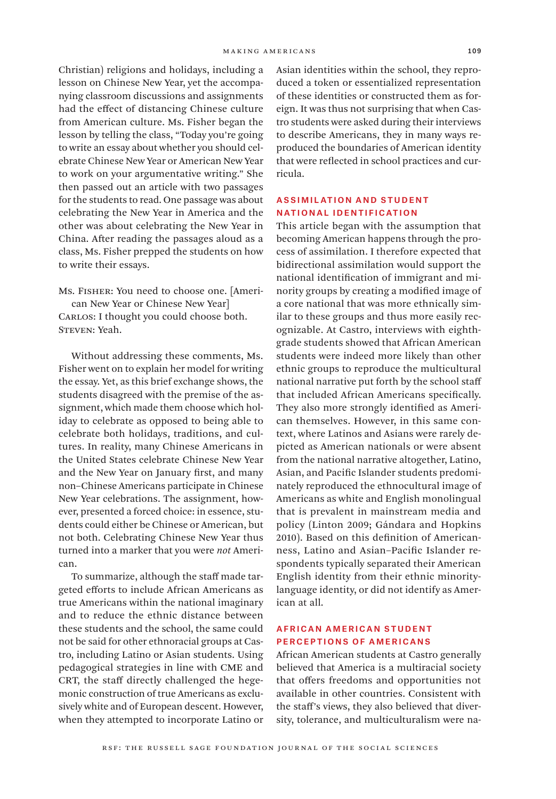Christian) religions and holidays, including a lesson on Chinese New Year, yet the accompanying classroom discussions and assignments had the effect of distancing Chinese culture from American culture. Ms. Fisher began the lesson by telling the class, "Today you're going to write an essay about whether you should celebrate Chinese New Year or American New Year to work on your argumentative writing." She then passed out an article with two passages for the students to read. One passage was about celebrating the New Year in America and the other was about celebrating the New Year in China. After reading the passages aloud as a class, Ms. Fisher prepped the students on how to write their essays.

Ms. Fisher: You need to choose one. [American New Year or Chinese New Year] CARLOS: I thought you could choose both. STEVEN: Yeah.

Without addressing these comments, Ms. Fisher went on to explain her model for writing the essay. Yet, as this brief exchange shows, the students disagreed with the premise of the assignment, which made them choose which holiday to celebrate as opposed to being able to celebrate both holidays, traditions, and cultures. In reality, many Chinese Americans in the United States celebrate Chinese New Year and the New Year on January first, and many non–Chinese Americans participate in Chinese New Year celebrations. The assignment, however, presented a forced choice: in essence, students could either be Chinese or American, but not both. Celebrating Chinese New Year thus turned into a marker that you were *not* American.

To summarize, although the staff made targeted efforts to include African Americans as true Americans within the national imaginary and to reduce the ethnic distance between these students and the school, the same could not be said for other ethnoracial groups at Castro, including Latino or Asian students. Using pedagogical strategies in line with CME and CRT, the staff directly challenged the hegemonic construction of true Americans as exclusively white and of European descent. However, when they attempted to incorporate Latino or

Asian identities within the school, they reproduced a token or essentialized representation of these identities or constructed them as foreign. It was thus not surprising that when Castro students were asked during their interviews to describe Americans, they in many ways reproduced the boundaries of American identity that were reflected in school practices and curricula.

# Assimilation and Student National Identification

This article began with the assumption that becoming American happens through the process of assimilation. I therefore expected that bidirectional assimilation would support the national identification of immigrant and minority groups by creating a modified image of a core national that was more ethnically similar to these groups and thus more easily recognizable. At Castro, interviews with eighthgrade students showed that African American students were indeed more likely than other ethnic groups to reproduce the multicultural national narrative put forth by the school staff that included African Americans specifically. They also more strongly identified as American themselves. However, in this same context, where Latinos and Asians were rarely depicted as American nationals or were absent from the national narrative altogether, Latino, Asian, and Pacific Islander students predominately reproduced the ethnocultural image of Americans as white and English monolingual that is prevalent in mainstream media and policy (Linton 2009; Gándara and Hopkins 2010). Based on this definition of Americanness, Latino and Asian–Pacific Islander respondents typically separated their American English identity from their ethnic minoritylanguage identity, or did not identify as American at all.

# African American Student Perceptions of Americans

African American students at Castro generally believed that America is a multiracial society that offers freedoms and opportunities not available in other countries. Consistent with the staff's views, they also believed that diversity, tolerance, and multiculturalism were na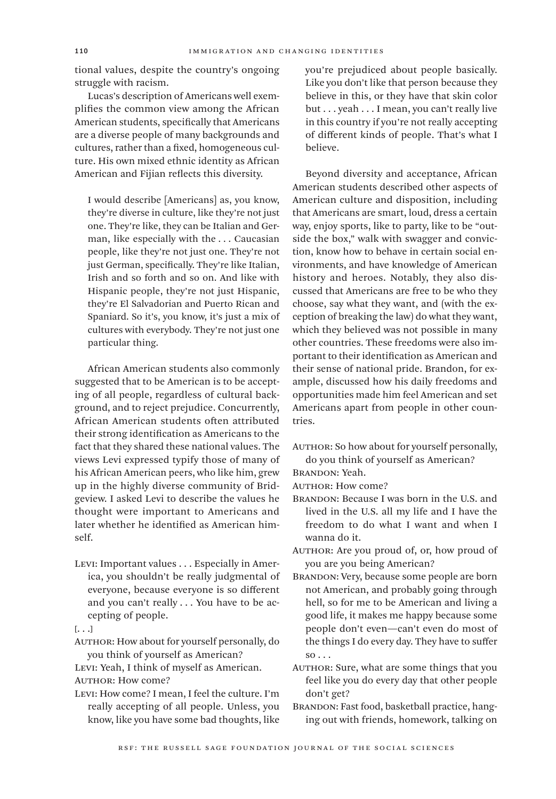tional values, despite the country's ongoing struggle with racism.

Lucas's description of Americans well exemplifies the common view among the African American students, specifically that Americans are a diverse people of many backgrounds and cultures, rather than a fixed, homogeneous culture. His own mixed ethnic identity as African American and Fijian reflects this diversity.

I would describe [Americans] as, you know, they're diverse in culture, like they're not just one. They're like, they can be Italian and German, like especially with the . . . Caucasian people, like they're not just one. They're not just German, specifically. They're like Italian, Irish and so forth and so on. And like with Hispanic people, they're not just Hispanic, they're El Salvadorian and Puerto Rican and Spaniard. So it's, you know, it's just a mix of cultures with everybody. They're not just one particular thing.

African American students also commonly suggested that to be American is to be accepting of all people, regardless of cultural background, and to reject prejudice. Concurrently, African American students often attributed their strong identification as Americans to the fact that they shared these national values. The views Levi expressed typify those of many of his African American peers, who like him, grew up in the highly diverse community of Bridgeview. I asked Levi to describe the values he thought were important to Americans and later whether he identified as American himself.

Levi: Important values . . . Especially in America, you shouldn't be really judgmental of everyone, because everyone is so different and you can't really . . . You have to be accepting of people.

AUTHOR: How about for yourself personally, do you think of yourself as American?

Levi: Yeah, I think of myself as American. AUTHOR: How come?

Levi: How come? I mean, I feel the culture. I'm really accepting of all people. Unless, you know, like you have some bad thoughts, like

you're prejudiced about people basically. Like you don't like that person because they believe in this, or they have that skin color but . . . yeah . . . I mean, you can't really live in this country if you're not really accepting of different kinds of people. That's what I believe.

Beyond diversity and acceptance, African American students described other aspects of American culture and disposition, including that Americans are smart, loud, dress a certain way, enjoy sports, like to party, like to be "outside the box," walk with swagger and conviction, know how to behave in certain social environments, and have knowledge of American history and heroes. Notably, they also discussed that Americans are free to be who they choose, say what they want, and (with the exception of breaking the law) do what they want, which they believed was not possible in many other countries. These freedoms were also important to their identification as American and their sense of national pride. Brandon, for example, discussed how his daily freedoms and opportunities made him feel American and set Americans apart from people in other countries.

- AUTHOR: So how about for yourself personally, do you think of yourself as American?
- Brandon: Yeah.
- AUTHOR: How come?
- Brandon: Because I was born in the U.S. and lived in the U.S. all my life and I have the freedom to do what I want and when I wanna do it.
- AUTHOR: Are you proud of, or, how proud of you are you being American?
- Brandon: Very, because some people are born not American, and probably going through hell, so for me to be American and living a good life, it makes me happy because some people don't even—can't even do most of the things I do every day. They have to suffer  $so \ldots$
- AUTHOR: Sure, what are some things that you feel like you do every day that other people don't get?
- BRANDON: Fast food, basketball practice, hanging out with friends, homework, talking on

<sup>[.</sup> . .]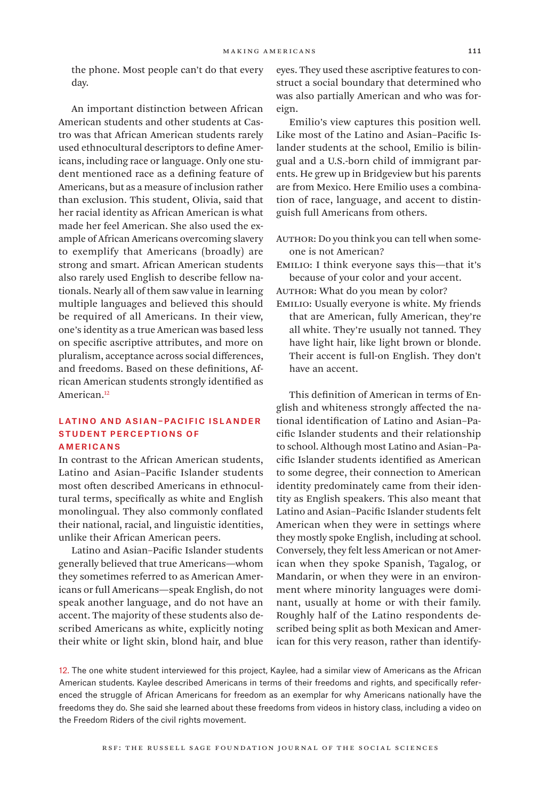the phone. Most people can't do that every day.

An important distinction between African American students and other students at Castro was that African American students rarely used ethnocultural descriptors to define Americans, including race or language. Only one student mentioned race as a defining feature of Americans, but as a measure of inclusion rather than exclusion. This student, Olivia, said that her racial identity as African American is what made her feel American. She also used the example of African Americans overcoming slavery to exemplify that Americans (broadly) are strong and smart. African American students also rarely used English to describe fellow nationals. Nearly all of them saw value in learning multiple languages and believed this should be required of all Americans. In their view, one's identity as a true American was based less on specific ascriptive attributes, and more on pluralism, acceptance across social differences, and freedoms. Based on these definitions, African American students strongly identified as American.<sup>12</sup>

### LATINO AND ASIAN-PACIFIC ISLANDER Student Perceptions of **AMERICANS**

In contrast to the African American students, Latino and Asian–Pacific Islander students most often described Americans in ethnocultural terms, specifically as white and English monolingual. They also commonly conflated their national, racial, and linguistic identities, unlike their African American peers.

Latino and Asian–Pacific Islander students generally believed that true Americans—whom they sometimes referred to as American Americans or full Americans—speak English, do not speak another language, and do not have an accent. The majority of these students also described Americans as white, explicitly noting their white or light skin, blond hair, and blue

eyes. They used these ascriptive features to construct a social boundary that determined who was also partially American and who was foreign.

Emilio's view captures this position well. Like most of the Latino and Asian–Pacific Islander students at the school, Emilio is bilingual and a U.S.-born child of immigrant parents. He grew up in Bridgeview but his parents are from Mexico. Here Emilio uses a combination of race, language, and accent to distinguish full Americans from others.

- AUTHOR: Do you think you can tell when someone is not American?
- Emilio: I think everyone says this—that it's because of your color and your accent.

AUTHOR: What do you mean by color?

Emilio: Usually everyone is white. My friends that are American, fully American, they're all white. They're usually not tanned. They have light hair, like light brown or blonde. Their accent is full-on English. They don't have an accent.

This definition of American in terms of English and whiteness strongly affected the national identification of Latino and Asian–Pacific Islander students and their relationship to school. Although most Latino and Asian–Pacific Islander students identified as American to some degree, their connection to American identity predominately came from their identity as English speakers. This also meant that Latino and Asian–Pacific Islander students felt American when they were in settings where they mostly spoke English, including at school. Conversely, they felt less American or not American when they spoke Spanish, Tagalog, or Mandarin, or when they were in an environment where minority languages were dominant, usually at home or with their family. Roughly half of the Latino respondents described being split as both Mexican and American for this very reason, rather than identify-

12. The one white student interviewed for this project, Kaylee, had a similar view of Americans as the African American students. Kaylee described Americans in terms of their freedoms and rights, and specifically referenced the struggle of African Americans for freedom as an exemplar for why Americans nationally have the freedoms they do. She said she learned about these freedoms from videos in history class, including a video on the Freedom Riders of the civil rights movement.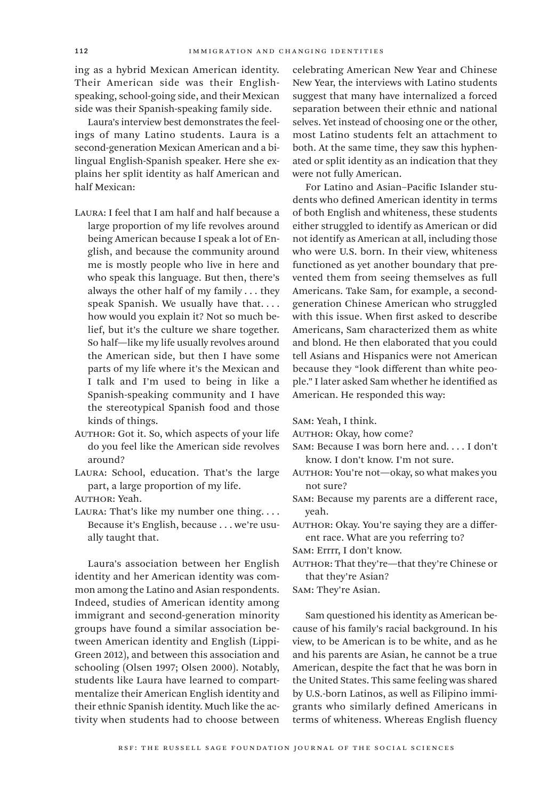ing as a hybrid Mexican American identity. Their American side was their Englishspeaking, school-going side, and their Mexican side was their Spanish-speaking family side.

Laura's interview best demonstrates the feelings of many Latino students. Laura is a second-generation Mexican American and a bilingual English-Spanish speaker. Here she explains her split identity as half American and half Mexican:

- Laura: I feel that I am half and half because a large proportion of my life revolves around being American because I speak a lot of English, and because the community around me is mostly people who live in here and who speak this language. But then, there's always the other half of my family . . . they speak Spanish. We usually have that.... how would you explain it? Not so much belief, but it's the culture we share together. So half—like my life usually revolves around the American side, but then I have some parts of my life where it's the Mexican and I talk and I'm used to being in like a Spanish-speaking community and I have the stereotypical Spanish food and those kinds of things.
- AUTHOR: Got it. So, which aspects of your life do you feel like the American side revolves around?
- Laura: School, education. That's the large part, a large proportion of my life.

AUTHOR: Yeah.

LAURA: That's like my number one thing.... Because it's English, because . . . we're usually taught that.

Laura's association between her English identity and her American identity was common among the Latino and Asian respondents. Indeed, studies of American identity among immigrant and second-generation minority groups have found a similar association between American identity and English (Lippi-Green 2012), and between this association and schooling (Olsen 1997; Olsen 2000). Notably, students like Laura have learned to compartmentalize their American English identity and their ethnic Spanish identity. Much like the activity when students had to choose between

celebrating American New Year and Chinese New Year, the interviews with Latino students suggest that many have internalized a forced separation between their ethnic and national selves. Yet instead of choosing one or the other, most Latino students felt an attachment to both. At the same time, they saw this hyphenated or split identity as an indication that they were not fully American.

For Latino and Asian–Pacific Islander students who defined American identity in terms of both English and whiteness, these students either struggled to identify as American or did not identify as American at all, including those who were U.S. born. In their view, whiteness functioned as yet another boundary that prevented them from seeing themselves as full Americans. Take Sam, for example, a secondgeneration Chinese American who struggled with this issue. When first asked to describe Americans, Sam characterized them as white and blond. He then elaborated that you could tell Asians and Hispanics were not American because they "look different than white people." I later asked Sam whether he identified as American. He responded this way:

Sam: Yeah, I think.

- AUTHOR: Okay, how come?
- Sam: Because I was born here and. . . . I don't know. I don't know. I'm not sure.
- AUTHOR: You're not-okay, so what makes you not sure?
- Sam: Because my parents are a different race, yeah.
- AUTHOR: Okay. You're saying they are a different race. What are you referring to?

Sam: Errrr, I don't know.

AUTHOR: That they're—that they're Chinese or that they're Asian?

Sam: They're Asian.

Sam questioned his identity as American because of his family's racial background. In his view, to be American is to be white, and as he and his parents are Asian, he cannot be a true American, despite the fact that he was born in the United States. This same feeling was shared by U.S.-born Latinos, as well as Filipino immigrants who similarly defined Americans in terms of whiteness. Whereas English fluency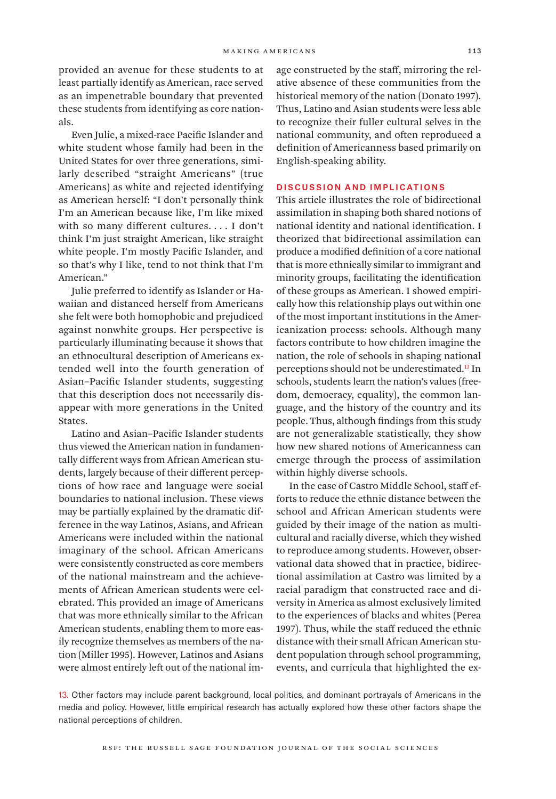provided an avenue for these students to at least partially identify as American, race served as an impenetrable boundary that prevented these students from identifying as core nationals.

Even Julie, a mixed-race Pacific Islander and white student whose family had been in the United States for over three generations, similarly described "straight Americans" (true Americans) as white and rejected identifying as American herself: "I don't personally think I'm an American because like, I'm like mixed with so many different cultures. . . . I don't think I'm just straight American, like straight white people. I'm mostly Pacific Islander, and so that's why I like, tend to not think that I'm American."

Julie preferred to identify as Islander or Hawaiian and distanced herself from Americans she felt were both homophobic and prejudiced against nonwhite groups. Her perspective is particularly illuminating because it shows that an ethnocultural description of Americans extended well into the fourth generation of Asian–Pacific Islander students, suggesting that this description does not necessarily disappear with more generations in the United States.

Latino and Asian–Pacific Islander students thus viewed the American nation in fundamentally different ways from African American students, largely because of their different perceptions of how race and language were social boundaries to national inclusion. These views may be partially explained by the dramatic difference in the way Latinos, Asians, and African Americans were included within the national imaginary of the school. African Americans were consistently constructed as core members of the national mainstream and the achievements of African American students were celebrated. This provided an image of Americans that was more ethnically similar to the African American students, enabling them to more easily recognize themselves as members of the nation (Miller 1995). However, Latinos and Asians were almost entirely left out of the national image constructed by the staff, mirroring the relative absence of these communities from the historical memory of the nation (Donato 1997). Thus, Latino and Asian students were less able to recognize their fuller cultural selves in the national community, and often reproduced a definition of Americanness based primarily on English-speaking ability.

#### Discussion and Implications

This article illustrates the role of bidirectional assimilation in shaping both shared notions of national identity and national identification. I theorized that bidirectional assimilation can produce a modified definition of a core national that is more ethnically similar to immigrant and minority groups, facilitating the identification of these groups as American. I showed empirically how this relationship plays out within one of the most important institutions in the Americanization process: schools. Although many factors contribute to how children imagine the nation, the role of schools in shaping national perceptions should not be underestimated.<sup>13</sup> In schools, students learn the nation's values (freedom, democracy, equality), the common language, and the history of the country and its people. Thus, although findings from this study are not generalizable statistically, they show how new shared notions of Americanness can emerge through the process of assimilation within highly diverse schools.

In the case of Castro Middle School, staff efforts to reduce the ethnic distance between the school and African American students were guided by their image of the nation as multicultural and racially diverse, which they wished to reproduce among students. However, observational data showed that in practice, bidirectional assimilation at Castro was limited by a racial paradigm that constructed race and diversity in America as almost exclusively limited to the experiences of blacks and whites (Perea 1997). Thus, while the staff reduced the ethnic distance with their small African American student population through school programming, events, and curricula that highlighted the ex-

13. Other factors may include parent background, local politics, and dominant portrayals of Americans in the media and policy. However, little empirical research has actually explored how these other factors shape the national perceptions of children.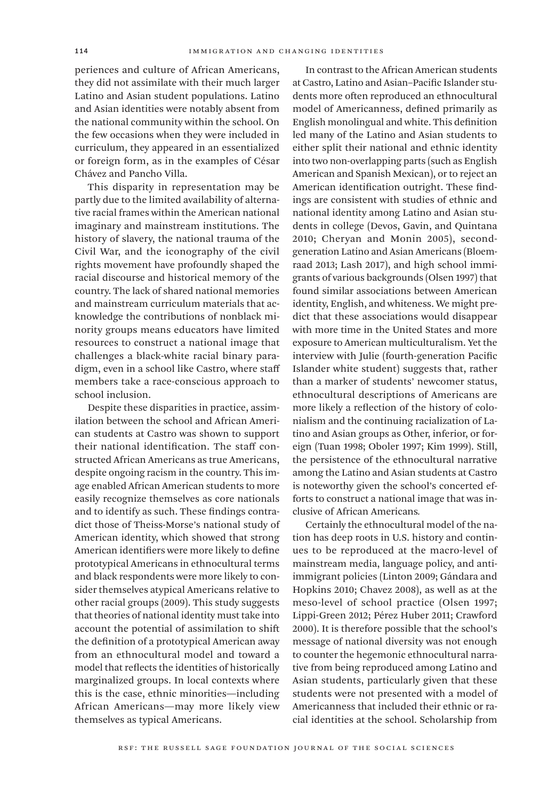periences and culture of African Americans, they did not assimilate with their much larger Latino and Asian student populations. Latino and Asian identities were notably absent from the national community within the school. On the few occasions when they were included in curriculum, they appeared in an essentialized or foreign form, as in the examples of César Chávez and Pancho Villa.

This disparity in representation may be partly due to the limited availability of alternative racial frames within the American national imaginary and mainstream institutions. The history of slavery, the national trauma of the Civil War, and the iconography of the civil rights movement have profoundly shaped the racial discourse and historical memory of the country. The lack of shared national memories and mainstream curriculum materials that acknowledge the contributions of nonblack minority groups means educators have limited resources to construct a national image that challenges a black-white racial binary paradigm, even in a school like Castro, where staff members take a race-conscious approach to school inclusion.

Despite these disparities in practice, assimilation between the school and African American students at Castro was shown to support their national identification. The staff constructed African Americans as true Americans, despite ongoing racism in the country. This image enabled African American students to more easily recognize themselves as core nationals and to identify as such. These findings contradict those of Theiss-Morse's national study of American identity, which showed that strong American identifiers were more likely to define prototypical Americans in ethnocultural terms and black respondents were more likely to consider themselves atypical Americans relative to other racial groups (2009). This study suggests that theories of national identity must take into account the potential of assimilation to shift the definition of a prototypical American away from an ethnocultural model and toward a model that reflects the identities of historically marginalized groups. In local contexts where this is the case, ethnic minorities—including African Americans—may more likely view themselves as typical Americans.

In contrast to the African American students at Castro, Latino and Asian–Pacific Islander students more often reproduced an ethnocultural model of Americanness, defined primarily as English monolingual and white. This definition led many of the Latino and Asian students to either split their national and ethnic identity into two non-overlapping parts (such as English American and Spanish Mexican), or to reject an American identification outright. These findings are consistent with studies of ethnic and national identity among Latino and Asian students in college (Devos, Gavin, and Quintana 2010; Cheryan and Monin 2005), secondgeneration Latino and Asian Americans (Bloemraad 2013; Lash 2017), and high school immigrants of various backgrounds (Olsen 1997) that found similar associations between American identity, English, and whiteness. We might predict that these associations would disappear with more time in the United States and more exposure to American multiculturalism. Yet the interview with Julie (fourth-generation Pacific Islander white student) suggests that, rather than a marker of students' newcomer status, ethnocultural descriptions of Americans are more likely a reflection of the history of colonialism and the continuing racialization of Latino and Asian groups as Other, inferior, or foreign (Tuan 1998; Oboler 1997; Kim 1999). Still, the persistence of the ethnocultural narrative among the Latino and Asian students at Castro is noteworthy given the school's concerted efforts to construct a national image that was inclusive of African Americans*.*

Certainly the ethnocultural model of the nation has deep roots in U.S. history and continues to be reproduced at the macro-level of mainstream media, language policy, and antiimmigrant policies (Linton 2009; Gándara and Hopkins 2010; Chavez 2008), as well as at the meso-level of school practice (Olsen 1997; Lippi-Green 2012; Pérez Huber 2011; Crawford 2000). It is therefore possible that the school's message of national diversity was not enough to counter the hegemonic ethnocultural narrative from being reproduced among Latino and Asian students, particularly given that these students were not presented with a model of Americanness that included their ethnic or racial identities at the school. Scholarship from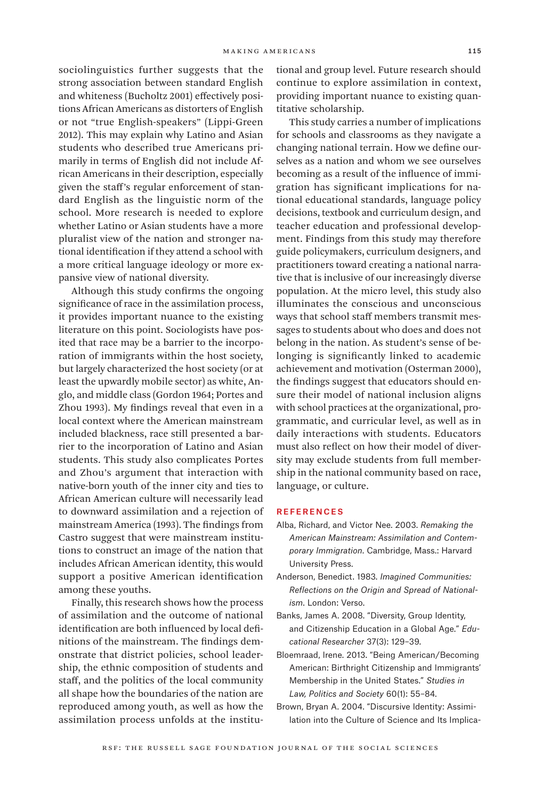sociolinguistics further suggests that the strong association between standard English and whiteness (Bucholtz 2001) effectively positions African Americans as distorters of English or not "true English-speakers" (Lippi-Green 2012). This may explain why Latino and Asian students who described true Americans primarily in terms of English did not include African Americans in their description, especially given the staff's regular enforcement of standard English as the linguistic norm of the school. More research is needed to explore whether Latino or Asian students have a more pluralist view of the nation and stronger national identification if they attend a school with a more critical language ideology or more expansive view of national diversity.

Although this study confirms the ongoing significance of race in the assimilation process, it provides important nuance to the existing literature on this point. Sociologists have posited that race may be a barrier to the incorporation of immigrants within the host society, but largely characterized the host society (or at least the upwardly mobile sector) as white, Anglo, and middle class (Gordon 1964; Portes and Zhou 1993). My findings reveal that even in a local context where the American mainstream included blackness, race still presented a barrier to the incorporation of Latino and Asian students. This study also complicates Portes and Zhou's argument that interaction with native-born youth of the inner city and ties to African American culture will necessarily lead to downward assimilation and a rejection of mainstream America (1993). The findings from Castro suggest that were mainstream institutions to construct an image of the nation that includes African American identity, this would support a positive American identification among these youths.

Finally, this research shows how the process of assimilation and the outcome of national identification are both influenced by local definitions of the mainstream. The findings demonstrate that district policies, school leadership, the ethnic composition of students and staff, and the politics of the local community all shape how the boundaries of the nation are reproduced among youth, as well as how the assimilation process unfolds at the institutional and group level. Future research should continue to explore assimilation in context, providing important nuance to existing quantitative scholarship.

This study carries a number of implications for schools and classrooms as they navigate a changing national terrain. How we define ourselves as a nation and whom we see ourselves becoming as a result of the influence of immigration has significant implications for national educational standards, language policy decisions, textbook and curriculum design, and teacher education and professional development. Findings from this study may therefore guide policymakers, curriculum designers, and practitioners toward creating a national narrative that is inclusive of our increasingly diverse population. At the micro level, this study also illuminates the conscious and unconscious ways that school staff members transmit messages to students about who does and does not belong in the nation. As student's sense of belonging is significantly linked to academic achievement and motivation (Osterman 2000), the findings suggest that educators should ensure their model of national inclusion aligns with school practices at the organizational, programmatic, and curricular level, as well as in daily interactions with students. Educators must also reflect on how their model of diversity may exclude students from full membership in the national community based on race, language, or culture.

#### **REFERENCES**

- Alba, Richard, and Victor Nee. 2003. *Remaking the American Mainstream: Assimilation and Contemporary Immigration*. Cambridge, Mass.: Harvard University Press.
- Anderson, Benedict. 1983. *Imagined Communities: Reflections on the Origin and Spread of Nationalism*. London: Verso.
- Banks, James A. 2008. "Diversity, Group Identity, and Citizenship Education in a Global Age." *Educational Researcher* 37(3): 129–39.
- Bloemraad, Irene. 2013. "Being American/Becoming American: Birthright Citizenship and Immigrants' Membership in the United States." *Studies in Law, Politics and Society* 60(1): 55–84.
- Brown, Bryan A. 2004. "Discursive Identity: Assimilation into the Culture of Science and Its Implica-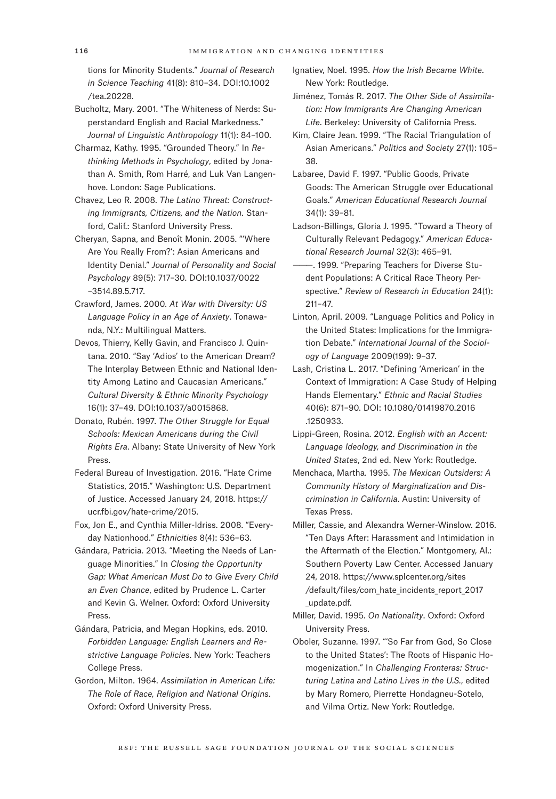tions for Minority Students." *Journal of Research in Science Teaching* 41(8): 810–34. DOI:10.1002 /tea.20228.

- Bucholtz, Mary. 2001. "The Whiteness of Nerds: Superstandard English and Racial Markedness." *Journal of Linguistic Anthropology* 11(1): 84–100.
- Charmaz, Kathy. 1995. "Grounded Theory." In *Rethinking Methods in Psychology*, edited by Jonathan A. Smith, Rom Harré, and Luk Van Langenhove. London: Sage Publications.
- Chavez, Leo R. 2008. *The Latino Threat: Constructing Immigrants, Citizens, and the Nation*. Stanford, Calif.: Stanford University Press.
- Cheryan, Sapna, and Benoît Monin. 2005. "'Where Are You Really From?': Asian Americans and Identity Denial." *Journal of Personality and Social Psychology* 89(5): 717–30. DOI:10.1037/0022 –3514.89.5.717.
- Crawford, James. 2000. *At War with Diversity: US Language Policy in an Age of Anxiety*. Tonawanda, N.Y.: Multilingual Matters.
- Devos, Thierry, Kelly Gavin, and Francisco J. Quintana. 2010. "Say 'Adios' to the American Dream? The Interplay Between Ethnic and National Identity Among Latino and Caucasian Americans." *Cultural Diversity & Ethnic Minority Psychology* 16(1): 37–49. DOI:10.1037/a0015868.
- Donato, Rubén. 1997. *The Other Struggle for Equal Schools: Mexican Americans during the Civil Rights Era*. Albany: State University of New York Press.
- Federal Bureau of Investigation. 2016. "Hate Crime Statistics, 2015." Washington: U.S. Department of Justice. Accessed January 24, 2018. [https://](https://ucr.fbi.gov/hate-crime/2015) [ucr.fbi.gov/hate-crime/2015.](https://ucr.fbi.gov/hate-crime/2015)
- Fox, Jon E., and Cynthia Miller-Idriss. 2008. "Everyday Nationhood." *Ethnicities* 8(4): 536–63.
- Gándara, Patricia. 2013. "Meeting the Needs of Language Minorities." In *Closing the Opportunity Gap: What American Must Do to Give Every Child an Even Chance*, edited by Prudence L. Carter and Kevin G. Welner. Oxford: Oxford University Press.
- Gándara, Patricia, and Megan Hopkins, eds. 2010. *Forbidden Language: English Learners and Restrictive Language Policies*. New York: Teachers College Press.
- Gordon, Milton. 1964. *Assimilation in American Life: The Role of Race, Religion and National Origins*. Oxford: Oxford University Press.
- Ignatiev, Noel. 1995. *How the Irish Became White*. New York: Routledge.
- Jiménez, Tomás R. 2017. *The Other Side of Assimilation: How Immigrants Are Changing American Life*. Berkeley: University of California Press.
- Kim, Claire Jean. 1999. "The Racial Triangulation of Asian Americans." *Politics and Society* 27(1): 105– 38.
- Labaree, David F. 1997. "Public Goods, Private Goods: The American Struggle over Educational Goals." *American Educational Research Journal* 34(1): 39–81.
- Ladson-Billings, Gloria J. 1995. "Toward a Theory of Culturally Relevant Pedagogy." *American Educational Research Journal* 32(3): 465–91.
- -. 1999. "Preparing Teachers for Diverse Student Populations: A Critical Race Theory Perspective." *Review of Research in Education* 24(1): 211–47.
- Linton, April. 2009. "Language Politics and Policy in the United States: Implications for the Immigration Debate." *International Journal of the Sociology of Language* 2009(199): 9–37.
- Lash, Cristina L. 2017. "Defining 'American' in the Context of Immigration: A Case Study of Helping Hands Elementary." *Ethnic and Racial Studies* 40(6): 871–90. DOI: 10.1080/01419870.2016 .1250933.
- Lippi-Green, Rosina. 2012. *English with an Accent: Language Ideology, and Discrimination in the United States*, 2nd ed. New York: Routledge.
- Menchaca, Martha. 1995. *The Mexican Outsiders: A Community History of Marginalization and Discrimination in California*. Austin: University of Texas Press.
- Miller, Cassie, and Alexandra Werner-Winslow. 2016. "Ten Days After: Harassment and Intimidation in the Aftermath of the Election." Montgomery, Al.: Southern Poverty Law Center. Accessed January 24, 2018. [https://www.splcenter.org/sites](https://www.splcenter.org/sites/default/files/com_hate_incidents_report_2017_update.pdf.) [/default/files/com\\_hate\\_incidents\\_report\\_2017](https://www.splcenter.org/sites/default/files/com_hate_incidents_report_2017_update.pdf.) [\\_update.pdf.](https://www.splcenter.org/sites/default/files/com_hate_incidents_report_2017_update.pdf.)
- Miller, David. 1995. *On Nationality*. Oxford: Oxford University Press.
- Oboler, Suzanne. 1997. "'So Far from God, So Close to the United States': The Roots of Hispanic Homogenization." In *Challenging Fronteras: Structuring Latina and Latino Lives in the U.S.*, edited by Mary Romero, Pierrette Hondagneu-Sotelo, and Vilma Ortiz. New York: Routledge.